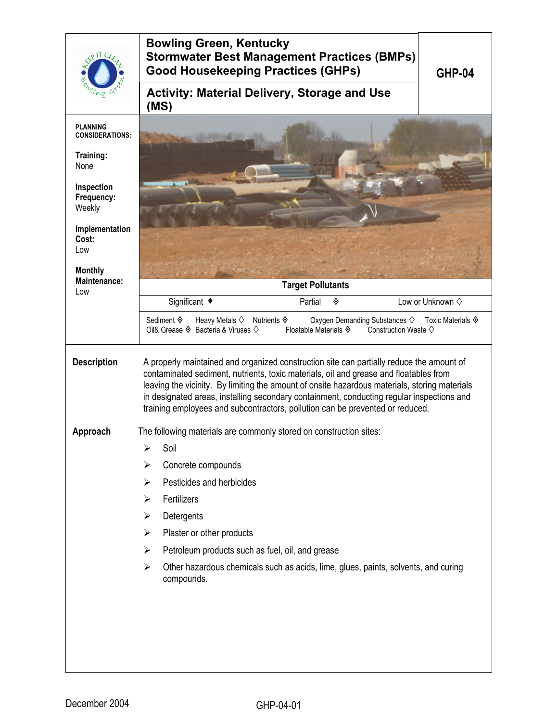|                                           | <b>Bowling Green, Kentucky</b><br><b>Stormwater Best Management Practices (BMPs)</b><br><b>Good Housekeeping Practices (GHPs)</b><br><b>GHP-04</b>                                                                                                                                                                                                                                                                                                               |
|-------------------------------------------|------------------------------------------------------------------------------------------------------------------------------------------------------------------------------------------------------------------------------------------------------------------------------------------------------------------------------------------------------------------------------------------------------------------------------------------------------------------|
|                                           | <b>Activity: Material Delivery, Storage and Use</b><br>(MS)                                                                                                                                                                                                                                                                                                                                                                                                      |
| <b>PLANNING</b><br><b>CONSIDERATIONS:</b> |                                                                                                                                                                                                                                                                                                                                                                                                                                                                  |
| Training:<br>None                         |                                                                                                                                                                                                                                                                                                                                                                                                                                                                  |
| Inspection<br>Frequency:<br>Weekly        |                                                                                                                                                                                                                                                                                                                                                                                                                                                                  |
| Implementation<br>Cost:<br>Low            |                                                                                                                                                                                                                                                                                                                                                                                                                                                                  |
| <b>Monthly</b>                            |                                                                                                                                                                                                                                                                                                                                                                                                                                                                  |
| Maintenance:<br>Low                       | <b>Target Pollutants</b>                                                                                                                                                                                                                                                                                                                                                                                                                                         |
|                                           | Significant ◆<br>Low or Unknown $\diamond$<br>Partial<br>◈                                                                                                                                                                                                                                                                                                                                                                                                       |
|                                           | Sediment $\hat{\mathbf{\diamond}}$<br>Heavy Metals $\diamondsuit$<br>Nutrients $\Diamond$<br>Oxygen Demanding Substances $\diamondsuit$<br>Toxic Materials $\hat{\mathbf{\diamond}}$<br>Oil& Grease $\Diamond$ Bacteria & Viruses $\Diamond$<br>Floatable Materials ♦<br>Construction Waste $\diamondsuit$                                                                                                                                                       |
| <b>Description</b>                        | A properly maintained and organized construction site can partially reduce the amount of<br>contaminated sediment, nutrients, toxic materials, oil and grease and floatables from<br>leaving the vicinity. By limiting the amount of onsite hazardous materials, storing materials<br>in designated areas, installing secondary containment, conducting regular inspections and<br>training employees and subcontractors, pollution can be prevented or reduced. |
| Approach                                  | The following materials are commonly stored on construction sites:                                                                                                                                                                                                                                                                                                                                                                                               |
|                                           | Soil<br>⋗                                                                                                                                                                                                                                                                                                                                                                                                                                                        |
|                                           | Concrete compounds                                                                                                                                                                                                                                                                                                                                                                                                                                               |
|                                           | Pesticides and herbicides<br>⋗                                                                                                                                                                                                                                                                                                                                                                                                                                   |
|                                           | Fertilizers<br>⋗                                                                                                                                                                                                                                                                                                                                                                                                                                                 |
|                                           | Detergents<br>➤                                                                                                                                                                                                                                                                                                                                                                                                                                                  |
|                                           | Plaster or other products<br>➤                                                                                                                                                                                                                                                                                                                                                                                                                                   |
|                                           | Petroleum products such as fuel, oil, and grease<br>➤                                                                                                                                                                                                                                                                                                                                                                                                            |
|                                           | Other hazardous chemicals such as acids, lime, glues, paints, solvents, and curing<br>$\blacktriangleright$<br>compounds.                                                                                                                                                                                                                                                                                                                                        |
|                                           |                                                                                                                                                                                                                                                                                                                                                                                                                                                                  |
|                                           |                                                                                                                                                                                                                                                                                                                                                                                                                                                                  |
|                                           |                                                                                                                                                                                                                                                                                                                                                                                                                                                                  |